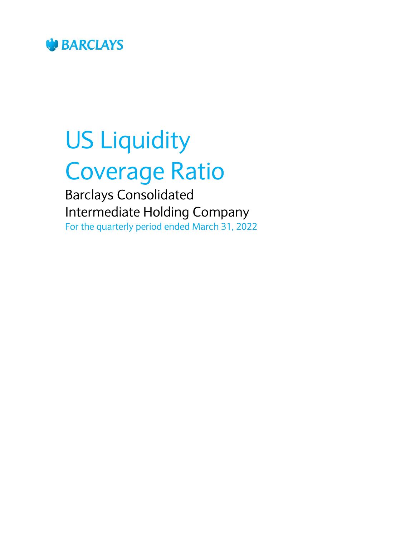

# US Liquidity Coverage Ratio

Barclays Consolidated Intermediate Holding Company For the quarterly period ended March 31, 2022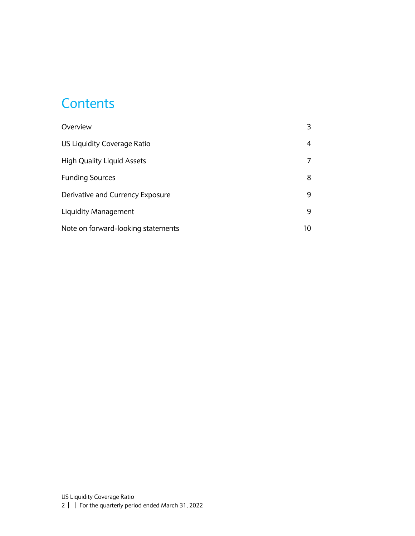#### **Contents**

| Overview                           |    |
|------------------------------------|----|
| US Liquidity Coverage Ratio        | 4  |
| <b>High Quality Liquid Assets</b>  |    |
| <b>Funding Sources</b>             | 8  |
| Derivative and Currency Exposure   | q  |
| Liquidity Management               | 9  |
| Note on forward-looking statements | 10 |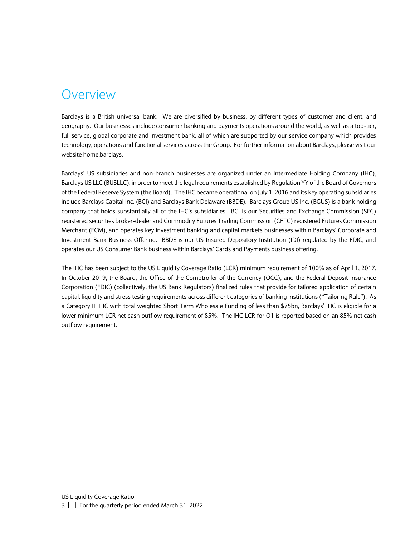#### <span id="page-2-0"></span>Overview

Barclays is a British universal bank. We are diversified by business, by different types of customer and client, and geography. Our businesses include consumer banking and payments operations around the world, as well as a top-tier, full service, global corporate and investment bank, all of which are supported by our service company which provides technology, operations and functional services across the Group. For further information about Barclays, please visit our website home.barclays.

Barclays' US subsidiaries and non-branch businesses are organized under an Intermediate Holding Company (IHC), Barclays US LLC (BUSLLC), in order to meet the legal requirements established by Regulation YY of the Board of Governors of the Federal Reserve System (the Board). The IHC became operational on July 1, 2016 and its key operating subsidiaries include Barclays Capital Inc. (BCI) and Barclays Bank Delaware (BBDE). Barclays Group US Inc. (BGUS) is a bank holding company that holds substantially all of the IHC's subsidiaries. BCI is our Securities and Exchange Commission (SEC) registered securities broker-dealer and Commodity Futures Trading Commission (CFTC) registered Futures Commission Merchant (FCM), and operates key investment banking and capital markets businesses within Barclays' Corporate and Investment Bank Business Offering. BBDE is our US Insured Depository Institution (IDI) regulated by the FDIC, and operates our US Consumer Bank business within Barclays' Cards and Payments business offering.

The IHC has been subject to the US Liquidity Coverage Ratio (LCR) minimum requirement of 100% as of April 1, 2017. In October 2019, the Board, the Office of the Comptroller of the Currency (OCC), and the Federal Deposit Insurance Corporation (FDIC) (collectively, the US Bank Regulators) finalized rules that provide for tailored application of certain capital, liquidity and stress testing requirements across different categories of banking institutions ("Tailoring Rule"). As a Category III IHC with total weighted Short Term Wholesale Funding of less than \$75bn, Barclays' IHC is eligible for a lower minimum LCR net cash outflow requirement of 85%. The IHC LCR for Q1 is reported based on an 85% net cash outflow requirement.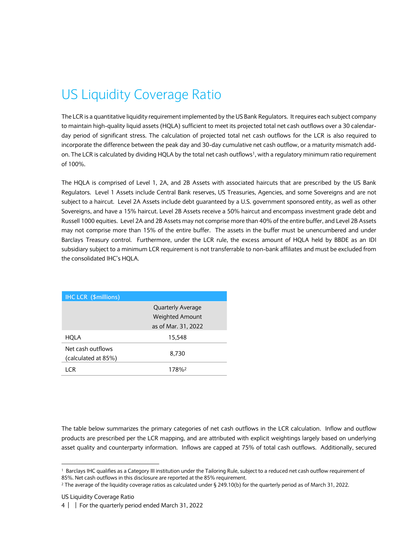## <span id="page-3-0"></span>US Liquidity Coverage Ratio

The LCR is a quantitative liquidity requirement implemented by the US Bank Regulators. It requires each subject company to maintain high-quality liquid assets (HQLA) sufficient to meet its projected total net cash outflows over a 30 calendarday period of significant stress. The calculation of projected total net cash outflows for the LCR is also required to incorporate the difference between the peak day and 30-day cumulative net cash outflow, or a maturity mismatch addon. The LCR is calculated by dividing HQLA by the total net cash outflows<sup>1</sup>, with a regulatory minimum ratio requirement of 100%.

The HQLA is comprised of Level 1, 2A, and 2B Assets with associated haircuts that are prescribed by the US Bank Regulators. Level 1 Assets include Central Bank reserves, US Treasuries, Agencies, and some Sovereigns and are not subject to a haircut. Level 2A Assets include debt guaranteed by a U.S. government sponsored entity, as well as other Sovereigns, and have a 15% haircut. Level 2B Assets receive a 50% haircut and encompass investment grade debt and Russell 1000 equities. Level 2A and 2B Assets may not comprise more than 40% of the entire buffer, and Level 2B Assets may not comprise more than 15% of the entire buffer. The assets in the buffer must be unencumbered and under Barclays Treasury control. Furthermore, under the LCR rule, the excess amount of HQLA held by BBDE as an IDI subsidiary subject to a minimum LCR requirement is not transferrable to non-bank affiliates and must be excluded from the consolidated IHC's HQLA.

| <b>IHC LCR (\$millions)</b>              |                                                    |
|------------------------------------------|----------------------------------------------------|
|                                          | <b>Quarterly Average</b><br><b>Weighted Amount</b> |
|                                          | as of Mar. 31, 2022                                |
| HQLA                                     | 15,548                                             |
| Net cash outflows<br>(calculated at 85%) | 8,730                                              |
| I CR                                     | 178%                                               |

The table below summarizes the primary categories of net cash outflows in the LCR calculation. Inflow and outflow products are prescribed per the LCR mapping, and are attributed with explicit weightings largely based on underlying asset quality and counterparty information. Inflows are capped at 75% of total cash outflows. Additionally, secured

1

<sup>1</sup> Barclays IHC qualifies as a Category III institution under the Tailoring Rule, subject to a reduced net cash outflow requirement of 85%. Net cash outflows in this disclosure are reported at the 85% requirement.

<sup>&</sup>lt;sup>2</sup> The average of the liquidity coverage ratios as calculated under § 249.10(b) for the quarterly period as of March 31, 2022.

US Liquidity Coverage Ratio

<sup>4</sup> | | For the quarterly period ended March 31, 2022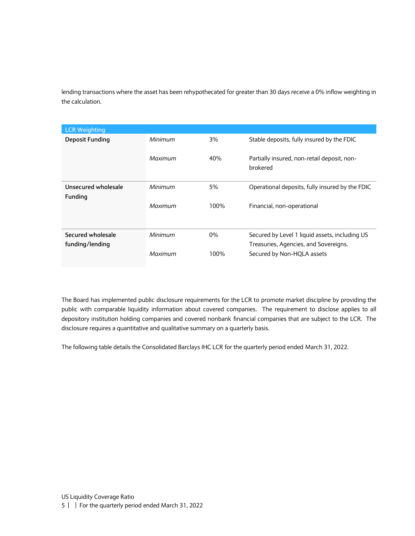lending transactions where the asset has been rehypothecated for greater than 30 days receive a 0% inflow weighting in the calculation.

| <b>LCR Weighting</b>   |         |       |                                                         |
|------------------------|---------|-------|---------------------------------------------------------|
| <b>Deposit Funding</b> | Minimum | 3%    | Stable deposits, fully insured by the FDIC              |
|                        | Maximum | 40%   | Partially insured, non-retail deposit, non-<br>brokered |
| Unsecured wholesale    | Minimum | 5%    | Operational deposits, fully insured by the FDIC         |
| <b>Funding</b>         |         |       |                                                         |
|                        | Maximum | 100%  | Financial, non-operational                              |
| Secured wholesale      | Minimum | $0\%$ | Secured by Level 1 liquid assets, including US          |
| funding/lending        |         |       | Treasuries, Agencies, and Sovereigns.                   |
|                        | Maximum | 100%  | Secured by Non-HQLA assets                              |

The Board has implemented public disclosure requirements for the LCR to promote market discipline by providing the public with comparable liquidity information about covered companies. The requirement to disclose applies to all depository institution holding companies and covered nonbank financial companies that are subject to the LCR. The disclosure requires a quantitative and qualitative summary on a quarterly basis.

The following table details the Consolidated Barclays IHC LCR for the quarterly period ended March 31, 2022.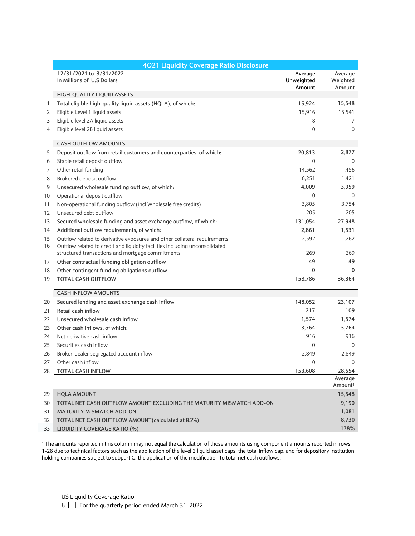|    | <b>4Q21 Liquidity Coverage Ratio Disclosure</b>                             |                                 |                                |
|----|-----------------------------------------------------------------------------|---------------------------------|--------------------------------|
|    | 12/31/2021 to 3/31/2022<br>In Millions of U.S Dollars                       | Average<br>Unweighted<br>Amount | Average<br>Weighted<br>Amount  |
|    | HIGH-QUALITY LIQUID ASSETS                                                  |                                 |                                |
| 1  | Total eligible high-quality liquid assets (HQLA), of which:                 | 15,924                          | 15,548                         |
| 2  | Eligible Level 1 liquid assets                                              | 15,916                          | 15,541                         |
| 3  | Eligible level 2A liquid assets                                             | 8                               | 7                              |
| 4  | Eligible level 2B liquid assets                                             | 0                               | $\mathbf{0}$                   |
|    | <b>CASH OUTFLOW AMOUNTS</b>                                                 |                                 |                                |
| 5  | Deposit outflow from retail customers and counterparties, of which:         | 20,813                          | 2,877                          |
| 6  | Stable retail deposit outflow                                               | $\mathbf{0}$                    | $\mathbf{0}$                   |
| 7  | Other retail funding                                                        | 14,562                          | 1,456                          |
| 8  | Brokered deposit outflow                                                    | 6,251                           | 1,421                          |
| 9  | Unsecured wholesale funding outflow, of which:                              | 4,009                           | 3,959                          |
| 10 | Operational deposit outflow                                                 | 0                               | $\mathbf{0}$                   |
| 11 | Non-operational funding outflow (incl Wholesale free credits)               | 3,805                           | 3,754                          |
| 12 | Unsecured debt outflow                                                      | 205                             | 205                            |
| 13 | Secured wholesale funding and asset exchange outflow, of which:             | 131,054                         | 27,948                         |
| 14 | Additional outflow requirements, of which:                                  | 2,861                           | 1,531                          |
| 15 | Outflow related to derivative exposures and other collateral requirements   | 2,592                           | 1,262                          |
| 16 | Outflow related to credit and liquidity facilities including unconsolidated |                                 |                                |
|    | structured transactions and mortgage commitments                            | 269                             | 269                            |
| 17 | Other contractual funding obligation outflow                                | 49                              | 49                             |
| 18 | Other contingent funding obligations outflow                                | 0                               | $\mathbf{0}$                   |
| 19 | <b>TOTAL CASH OUTFLOW</b>                                                   | 158,786                         | 36,364                         |
|    | <b>CASH INFLOW AMOUNTS</b>                                                  |                                 |                                |
| 20 | Secured lending and asset exchange cash inflow                              | 148,052                         | 23,107                         |
| 21 | Retail cash inflow                                                          | 217                             | 109                            |
| 22 | Unsecured wholesale cash inflow                                             | 1,574                           | 1,574                          |
| 23 | Other cash inflows, of which:                                               | 3,764                           | 3,764                          |
| 24 | Net derivative cash inflow                                                  | 916                             | 916                            |
| 25 | Securities cash inflow                                                      | $\mathbf{0}$                    | $\Omega$                       |
| 26 | Broker-dealer segregated account inflow                                     | 2,849                           | 2,849                          |
| 27 | Other cash inflow                                                           | $\Omega$                        | $\Omega$                       |
|    | 28 TOTAL CASH INFLOW                                                        | 153,608                         | 28,554                         |
|    |                                                                             |                                 | Average<br>Amount <sup>1</sup> |
| 29 | <b>HQLA AMOUNT</b>                                                          |                                 | 15,548                         |
| 30 | TOTAL NET CASH OUTFLOW AMOUNT EXCLUDING THE MATURITY MISMATCH ADD-ON        |                                 | 9,190                          |
| 31 | <b>MATURITY MISMATCH ADD-ON</b>                                             |                                 | 1,081                          |
| 32 | TOTAL NET CASH OUTFLOW AMOUNT (calculated at 85%)                           |                                 | 8,730                          |
| 33 | LIQUIDITY COVERAGE RATIO (%)                                                |                                 | 178%                           |

<sup>1</sup> The amounts reported in this column may not equal the calculation of those amounts using component amounts reported in rows 1-28 due to technical factors such as the application of the level 2 liquid asset caps, the total inflow cap, and for depository institution holding companies subject to subpart G, the application of the modification to total net cash outflows.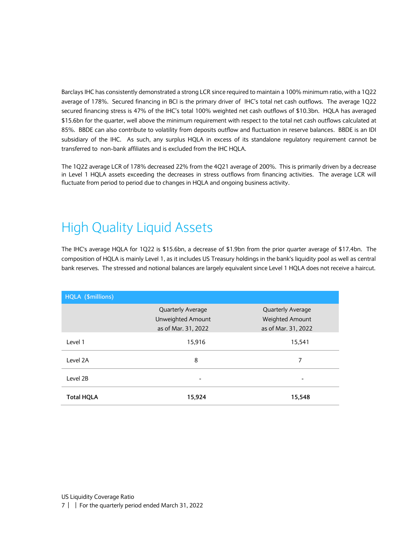Barclays IHC has consistently demonstrated a strong LCR since required to maintain a 100% minimum ratio, with a 1Q22 average of 178%. Secured financing in BCI is the primary driver of IHC's total net cash outflows. The average 1Q22 secured financing stress is 47% of the IHC's total 100% weighted net cash outflows of \$10.3bn. HQLA has averaged \$15.6bn for the quarter, well above the minimum requirement with respect to the total net cash outflows calculated at 85%. BBDE can also contribute to volatility from deposits outflow and fluctuation in reserve balances. BBDE is an IDI subsidiary of the IHC. As such, any surplus HQLA in excess of its standalone regulatory requirement cannot be transferred to non-bank affiliates and is excluded from the IHC HQLA.

<span id="page-6-0"></span>The 1Q22 average LCR of 178% decreased 22% from the 4Q21 average of 200%. This is primarily driven by a decrease in Level 1 HQLA assets exceeding the decreases in stress outflows from financing activities. The average LCR will fluctuate from period to period due to changes in HQLA and ongoing business activity.

### High Quality Liquid Assets

The IHC's average HQLA for 1Q22 is \$15.6bn, a decrease of \$1.9bn from the prior quarter average of \$17.4bn. The composition of HQLA is mainly Level 1, as it includes US Treasury holdings in the bank's liquidity pool as well as central bank reserves. The stressed and notional balances are largely equivalent since Level 1 HQLA does not receive a haircut.

| HQLA (\$millions) |                                               |                                             |
|-------------------|-----------------------------------------------|---------------------------------------------|
|                   | <b>Quarterly Average</b><br>Unweighted Amount | <b>Quarterly Average</b><br>Weighted Amount |
|                   | as of Mar. 31, 2022                           | as of Mar. 31, 2022                         |
| Level 1           | 15,916                                        | 15,541                                      |
| Level 2A          | 8                                             | 7                                           |
| Level 2B          | -                                             | -                                           |
| <b>Total HQLA</b> | 15,924                                        | 15,548                                      |

US Liquidity Coverage Ratio

7 | | For the quarterly period ended March 31, 2022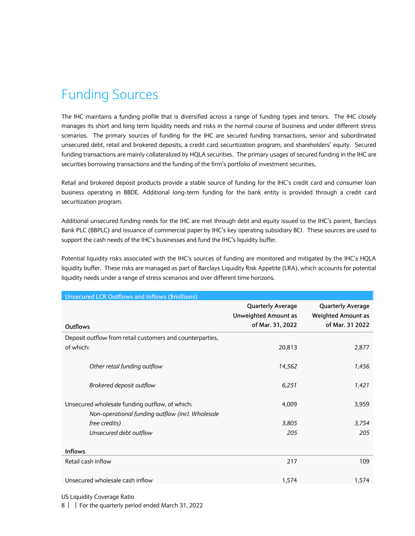### <span id="page-7-0"></span>Funding Sources

The IHC maintains a funding profile that is diversified across a range of funding types and tenors. The IHC closely manages its short and long term liquidity needs and risks in the normal course of business and under different stress scenarios. The primary sources of funding for the IHC are secured funding transactions, senior and subordinated unsecured debt, retail and brokered deposits, a credit card securitization program, and shareholders' equity. Secured funding transactions are mainly collateralized by HQLA securities. The primary usages of secured funding in the IHC are securities borrowing transactions and the funding of the firm's portfolio of investment securities.

Retail and brokered deposit products provide a stable source of funding for the IHC's credit card and consumer loan business operating in BBDE. Additional long-term funding for the bank entity is provided through a credit card securitization program.

Additional unsecured funding needs for the IHC are met through debt and equity issued to the IHC's parent, Barclays Bank PLC (BBPLC) and issuance of commercial paper by IHC's key operating subsidiary BCI. These sources are used to support the cash needs of the IHC's businesses and fund the IHC's liquidity buffer.

Potential liquidity risks associated with the IHC's sources of funding are monitored and mitigated by the IHC's HQLA liquidity buffer. These risks are managed as part of Barclays Liquidity Risk Appetite (LRA), which accounts for potential liquidity needs under a range of stress scenarios and over different time horizons.

| <b>Unsecured LCR Outflows and Inflows (\$millions)</b>                                             |                                                                             |                                                                          |
|----------------------------------------------------------------------------------------------------|-----------------------------------------------------------------------------|--------------------------------------------------------------------------|
| <b>Outflows</b>                                                                                    | <b>Quarterly Average</b><br><b>Unweighted Amount as</b><br>of Mar. 31, 2022 | <b>Quarterly Average</b><br><b>Weighted Amount as</b><br>of Mar. 31 2022 |
| Deposit outflow from retail customers and counterparties,                                          |                                                                             |                                                                          |
| of which:                                                                                          | 20,813                                                                      | 2,877                                                                    |
| Other retail funding outflow                                                                       | 14,562                                                                      | 1,456                                                                    |
| <b>Brokered deposit outflow</b>                                                                    | 6,251                                                                       | 1,421                                                                    |
| Unsecured wholesale funding outflow, of which:<br>Non-operational funding outflow (incl. Wholesale | 4,009                                                                       | 3,959                                                                    |
| free credits)                                                                                      | 3,805                                                                       | 3,754                                                                    |
| Unsecured debt outflow                                                                             | 205                                                                         | 205                                                                      |
| <b>Inflows</b>                                                                                     |                                                                             |                                                                          |
| Retail cash inflow                                                                                 | 217                                                                         | 109                                                                      |
| Unsecured wholesale cash inflow                                                                    | 1,574                                                                       | 1.574                                                                    |

US Liquidity Coverage Ratio

8 | | For the quarterly period ended March 31, 2022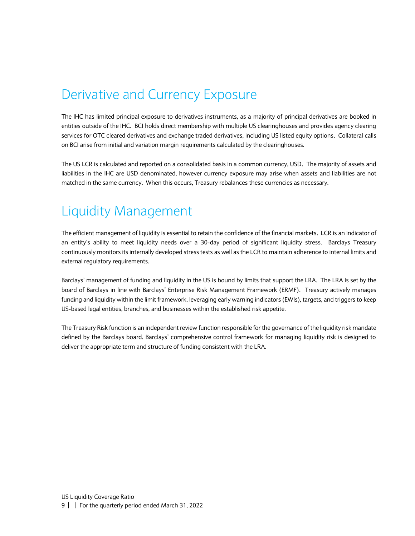#### <span id="page-8-0"></span>Derivative and Currency Exposure

The IHC has limited principal exposure to derivatives instruments, as a majority of principal derivatives are booked in entities outside of the IHC. BCI holds direct membership with multiple US clearinghouses and provides agency clearing services for OTC cleared derivatives and exchange traded derivatives, including US listed equity options. Collateral calls on BCI arise from initial and variation margin requirements calculated by the clearinghouses.

The US LCR is calculated and reported on a consolidated basis in a common currency, USD. The majority of assets and liabilities in the IHC are USD denominated, however currency exposure may arise when assets and liabilities are not matched in the same currency. When this occurs, Treasury rebalances these currencies as necessary.

#### <span id="page-8-1"></span>Liquidity Management

The efficient management of liquidity is essential to retain the confidence of the financial markets. LCR is an indicator of an entity's ability to meet liquidity needs over a 30-day period of significant liquidity stress. Barclays Treasury continuously monitors its internally developed stress tests as well as the LCR to maintain adherence to internal limits and external regulatory requirements.

Barclays' management of funding and liquidity in the US is bound by limits that support the LRA. The LRA is set by the board of Barclays in line with Barclays' Enterprise Risk Management Framework (ERMF). Treasury actively manages funding and liquidity within the limit framework, leveraging early warning indicators (EWIs), targets, and triggers to keep US-based legal entities, branches, and businesses within the established risk appetite.

The Treasury Risk function is an independent review function responsible for the governance of the liquidity risk mandate defined by the Barclays board. Barclays' comprehensive control framework for managing liquidity risk is designed to deliver the appropriate term and structure of funding consistent with the LRA.